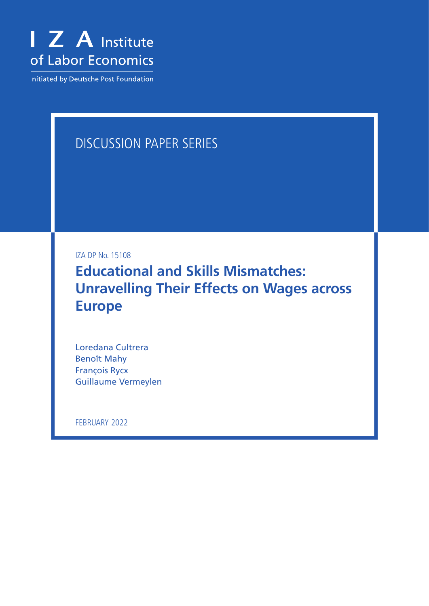

Initiated by Deutsche Post Foundation

# DISCUSSION PAPER SERIES

IZA DP No. 15108

**Educational and Skills Mismatches: Unravelling Their Effects on Wages across Europe**

Loredana Cultrera Benoît Mahy François Rycx Guillaume Vermeylen

FEBRUARY 2022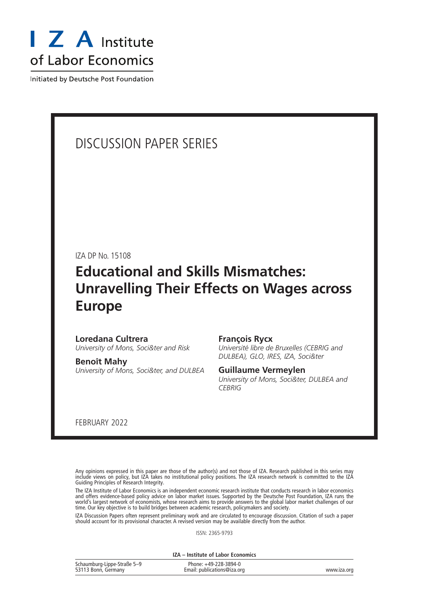

Initiated by Deutsche Post Foundation

## DISCUSSION PAPER SERIES

IZA DP No. 15108

## **Educational and Skills Mismatches: Unravelling Their Effects on Wages across Europe**

### **Loredana Cultrera**

*University of Mons, Soci&ter and Risk*

**Benoît Mahy**

*University of Mons, Soci&ter, and DULBEA*

#### **François Rycx**

*Université libre de Bruxelles (CEBRIG and DULBEA), GLO, IRES, IZA, Soci&ter*

#### **Guillaume Vermeylen**

*University of Mons, Soci&ter, DULBEA and CEBRIG*

FEBRUARY 2022

Any opinions expressed in this paper are those of the author(s) and not those of IZA. Research published in this series may include views on policy, but IZA takes no institutional policy positions. The IZA research network is committed to the IZA Guiding Principles of Research Integrity.

The IZA Institute of Labor Economics is an independent economic research institute that conducts research in labor economics and offers evidence-based policy advice on labor market issues. Supported by the Deutsche Post Foundation, IZA runs the world's largest network of economists, whose research aims to provide answers to the global labor market challenges of our time. Our key objective is to build bridges between academic research, policymakers and society.

IZA Discussion Papers often represent preliminary work and are circulated to encourage discussion. Citation of such a paper should account for its provisional character. A revised version may be available directly from the author.

ISSN: 2365-9793

**IZA – Institute of Labor Economics**

| Schaumburg-Lippe-Straße 5-9 | Phone: +49-228-3894-0       |             |
|-----------------------------|-----------------------------|-------------|
| 53113 Bonn, Germany         | Email: publications@iza.org | www.iza.org |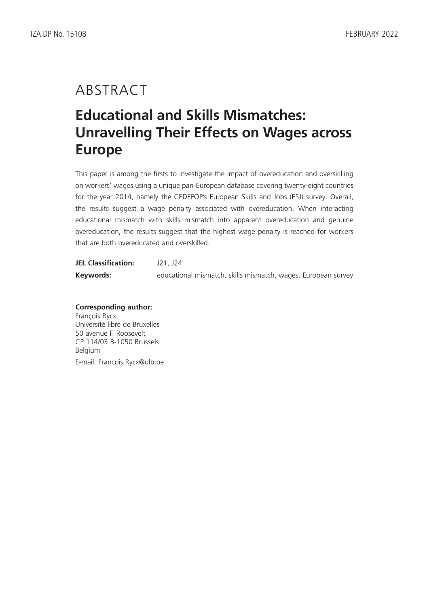# ABSTRACT

# **Educational and Skills Mismatches: Unravelling Their Effects on Wages across Europe**

This paper is among the firsts to investigate the impact of overeducation and overskilling on workers' wages using a unique pan-European database covering twenty-eight countries for the year 2014, namely the CEDEFOP's European Skills and Jobs (ESJ) survey. Overall, the results suggest a wage penalty associated with overeducation. When interacting educational mismatch with skills mismatch into apparent overeducation and genuine overeducation, the results suggest that the highest wage penalty is reached for workers that are both overeducated and overskilled.

| <b>JEL Classification:</b> | J21, J24.                                                     |
|----------------------------|---------------------------------------------------------------|
| Keywords:                  | educational mismatch, skills mismatch, wages, European survey |

## **Corresponding author:**

François Rycx Université libre de Bruxelles 50 avenue F. Roosevelt CP 114/03 B-1050 Brussels Belgium E-mail: Francois.Rycx@ulb.be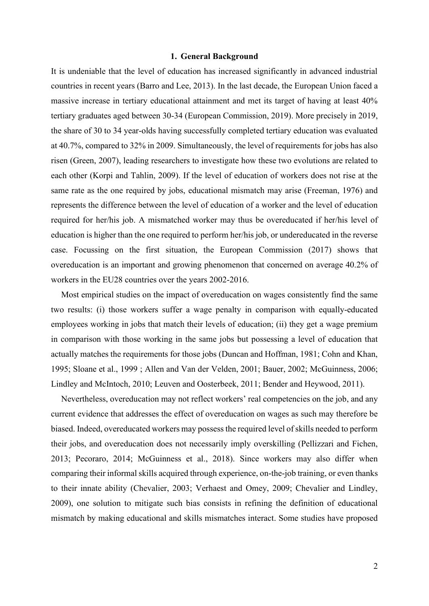#### **1. General Background**

It is undeniable that the level of education has increased significantly in advanced industrial countries in recent years (Barro and Lee, 2013). In the last decade, the European Union faced a massive increase in tertiary educational attainment and met its target of having at least 40% tertiary graduates aged between 30-34 (European Commission, 2019). More precisely in 2019, the share of 30 to 34 year-olds having successfully completed tertiary education was evaluated at 40.7%, compared to 32% in 2009. Simultaneously, the level of requirements for jobs has also risen (Green, 2007), leading researchers to investigate how these two evolutions are related to each other (Korpi and Tahlin, 2009). If the level of education of workers does not rise at the same rate as the one required by jobs, educational mismatch may arise (Freeman, 1976) and represents the difference between the level of education of a worker and the level of education required for her/his job. A mismatched worker may thus be overeducated if her/his level of education is higher than the one required to perform her/his job, or undereducated in the reverse case. Focussing on the first situation, the European Commission (2017) shows that overeducation is an important and growing phenomenon that concerned on average 40.2% of workers in the EU28 countries over the years 2002-2016.

Most empirical studies on the impact of overeducation on wages consistently find the same two results: (i) those workers suffer a wage penalty in comparison with equally-educated employees working in jobs that match their levels of education; (ii) they get a wage premium in comparison with those working in the same jobs but possessing a level of education that actually matches the requirements for those jobs (Duncan and Hoffman, 1981; Cohn and Khan, 1995; Sloane et al., 1999 ; Allen and Van der Velden, 2001; Bauer, 2002; McGuinness, 2006; Lindley and McIntoch, 2010; Leuven and Oosterbeek, 2011; Bender and Heywood, 2011).

Nevertheless, overeducation may not reflect workers' real competencies on the job, and any current evidence that addresses the effect of overeducation on wages as such may therefore be biased. Indeed, overeducated workers may possess the required level of skills needed to perform their jobs, and overeducation does not necessarily imply overskilling (Pellizzari and Fichen, 2013; Pecoraro, 2014; McGuinness et al., 2018). Since workers may also differ when comparing their informal skills acquired through experience, on-the-job training, or even thanks to their innate ability (Chevalier, 2003; Verhaest and Omey, 2009; Chevalier and Lindley, 2009), one solution to mitigate such bias consists in refining the definition of educational mismatch by making educational and skills mismatches interact. Some studies have proposed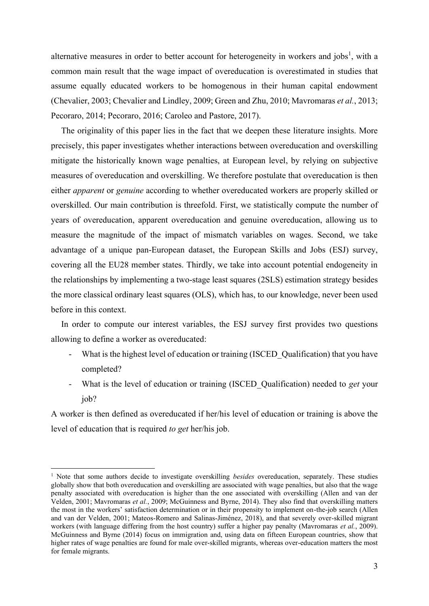alternative measures in order to better account for heterogeneity in workers and jobs<sup>1</sup>, with a common main result that the wage impact of overeducation is overestimated in studies that assume equally educated workers to be homogenous in their human capital endowment (Chevalier, 2003; Chevalier and Lindley, 2009; Green and Zhu, 2010; Mavromaras *et al.*, 2013; Pecoraro, 2014; Pecoraro, 2016; Caroleo and Pastore, 2017).

The originality of this paper lies in the fact that we deepen these literature insights. More precisely, this paper investigates whether interactions between overeducation and overskilling mitigate the historically known wage penalties, at European level, by relying on subjective measures of overeducation and overskilling. We therefore postulate that overeducation is then either *apparent* or *genuine* according to whether overeducated workers are properly skilled or overskilled. Our main contribution is threefold. First, we statistically compute the number of years of overeducation, apparent overeducation and genuine overeducation, allowing us to measure the magnitude of the impact of mismatch variables on wages. Second, we take advantage of a unique pan-European dataset, the European Skills and Jobs (ESJ) survey, covering all the EU28 member states. Thirdly, we take into account potential endogeneity in the relationships by implementing a two-stage least squares (2SLS) estimation strategy besides the more classical ordinary least squares (OLS), which has, to our knowledge, never been used before in this context.

In order to compute our interest variables, the ESJ survey first provides two questions allowing to define a worker as overeducated:

- What is the highest level of education or training (ISCED Qualification) that you have completed?
- What is the level of education or training (ISCED\_Qualification) needed to *get* your job?

A worker is then defined as overeducated if her/his level of education or training is above the level of education that is required *to get* her/his job.

<sup>1</sup> Note that some authors decide to investigate overskilling *besides* overeducation, separately. These studies globally show that both overeducation and overskilling are associated with wage penalties, but also that the wage penalty associated with overeducation is higher than the one associated with overskilling (Allen and van der Velden, 2001; Mavromaras *et al.*, 2009; McGuinness and Byrne, 2014). They also find that overskilling matters the most in the workers' satisfaction determination or in their propensity to implement on-the-job search (Allen and van der Velden, 2001; Mateos-Romero and Salinas-Jiménez, 2018), and that severely over-skilled migrant workers (with language differing from the host country) suffer a higher pay penalty (Mavromaras *et al.*, 2009). McGuinness and Byrne (2014) focus on immigration and, using data on fifteen European countries, show that higher rates of wage penalties are found for male over-skilled migrants, whereas over-education matters the most for female migrants.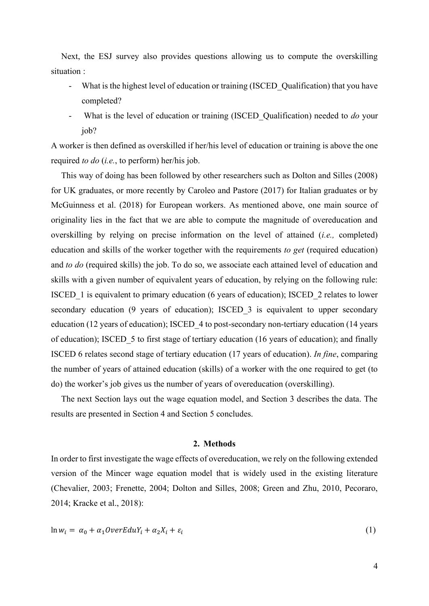Next, the ESJ survey also provides questions allowing us to compute the overskilling situation :

- What is the highest level of education or training (ISCED Qualification) that you have completed?
- What is the level of education or training (ISCED Qualification) needed to *do* your iob?

A worker is then defined as overskilled if her/his level of education or training is above the one required *to do* (*i.e.*, to perform) her/his job.

This way of doing has been followed by other researchers such as Dolton and Silles (2008) for UK graduates, or more recently by Caroleo and Pastore (2017) for Italian graduates or by McGuinness et al. (2018) for European workers. As mentioned above, one main source of originality lies in the fact that we are able to compute the magnitude of overeducation and overskilling by relying on precise information on the level of attained (*i.e.,* completed) education and skills of the worker together with the requirements *to get* (required education) and *to do* (required skills) the job. To do so, we associate each attained level of education and skills with a given number of equivalent years of education, by relying on the following rule: ISCED\_1 is equivalent to primary education (6 years of education); ISCED\_2 relates to lower secondary education (9 years of education); ISCED 3 is equivalent to upper secondary education (12 years of education); ISCED\_4 to post-secondary non-tertiary education (14 years of education); ISCED\_5 to first stage of tertiary education (16 years of education); and finally ISCED 6 relates second stage of tertiary education (17 years of education). *In fine*, comparing the number of years of attained education (skills) of a worker with the one required to get (to do) the worker's job gives us the number of years of overeducation (overskilling).

The next Section lays out the wage equation model, and Section 3 describes the data. The results are presented in Section 4 and Section 5 concludes.

#### **2. Methods**

In order to first investigate the wage effects of overeducation, we rely on the following extended version of the Mincer wage equation model that is widely used in the existing literature (Chevalier, 2003; Frenette, 2004; Dolton and Silles, 2008; Green and Zhu, 2010, Pecoraro, 2014; Kracke et al., 2018):

$$
\ln w_i = \alpha_0 + \alpha_1 \text{OverE} \, du Y_i + \alpha_2 X_i + \varepsilon_i \tag{1}
$$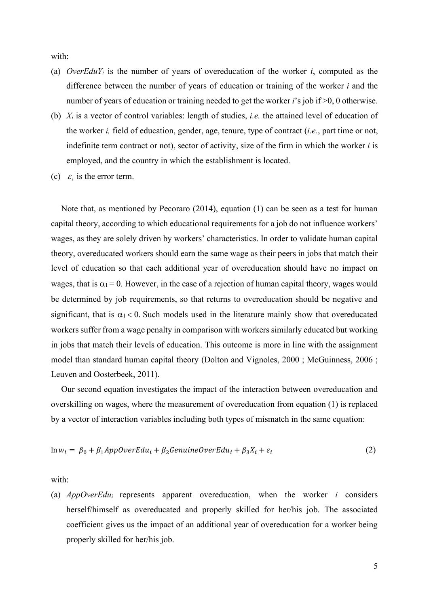with:

- (a) *OverEduYi* is the number of years of overeducation of the worker *i*, computed as the difference between the number of years of education or training of the worker *i* and the number of years of education or training needed to get the worker *i*'s job if  $\geq 0$ , 0 otherwise.
- (b) *Xi* is a vector of control variables: length of studies, *i.e.* the attained level of education of the worker *i,* field of education, gender, age, tenure, type of contract (*i.e.*, part time or not, indefinite term contract or not), sector of activity, size of the firm in which the worker *i* is employed, and the country in which the establishment is located.
- (c)  $\varepsilon_i$  is the error term.

Note that, as mentioned by Pecoraro (2014), equation (1) can be seen as a test for human capital theory, according to which educational requirements for a job do not influence workers' wages, as they are solely driven by workers' characteristics. In order to validate human capital theory, overeducated workers should earn the same wage as their peers in jobs that match their level of education so that each additional year of overeducation should have no impact on wages, that is  $\alpha_1 = 0$ . However, in the case of a rejection of human capital theory, wages would be determined by job requirements, so that returns to overeducation should be negative and significant, that is  $\alpha_1 < 0$ . Such models used in the literature mainly show that overeducated workers suffer from a wage penalty in comparison with workers similarly educated but working in jobs that match their levels of education. This outcome is more in line with the assignment model than standard human capital theory (Dolton and Vignoles, 2000 ; McGuinness, 2006 ; Leuven and Oosterbeek, 2011).

Our second equation investigates the impact of the interaction between overeducation and overskilling on wages, where the measurement of overeducation from equation (1) is replaced by a vector of interaction variables including both types of mismatch in the same equation:

$$
\ln w_i = \beta_0 + \beta_1 AppOverE du_i + \beta_2 GenuineOverE du_i + \beta_3 X_i + \varepsilon_i \tag{2}
$$

with:

(a) *AppOverEdui* represents apparent overeducation, when the worker *i* considers herself/himself as overeducated and properly skilled for her/his job. The associated coefficient gives us the impact of an additional year of overeducation for a worker being properly skilled for her/his job.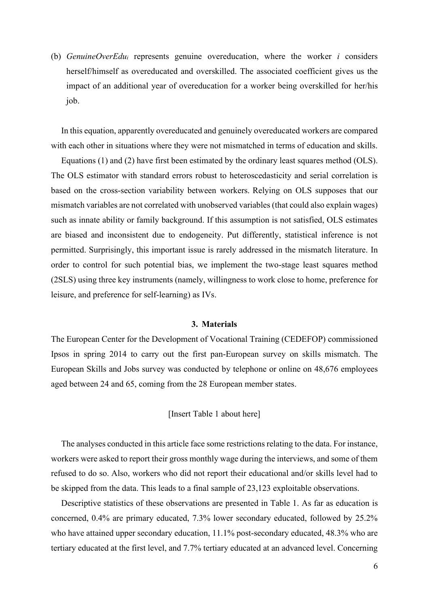(b) *GenuineOverEdui* represents genuine overeducation, where the worker *i* considers herself/himself as overeducated and overskilled. The associated coefficient gives us the impact of an additional year of overeducation for a worker being overskilled for her/his job.

In this equation, apparently overeducated and genuinely overeducated workers are compared with each other in situations where they were not mismatched in terms of education and skills.

Equations (1) and (2) have first been estimated by the ordinary least squares method (OLS). The OLS estimator with standard errors robust to heteroscedasticity and serial correlation is based on the cross-section variability between workers. Relying on OLS supposes that our mismatch variables are not correlated with unobserved variables (that could also explain wages) such as innate ability or family background. If this assumption is not satisfied, OLS estimates are biased and inconsistent due to endogeneity. Put differently, statistical inference is not permitted. Surprisingly, this important issue is rarely addressed in the mismatch literature. In order to control for such potential bias, we implement the two-stage least squares method (2SLS) using three key instruments (namely, willingness to work close to home, preference for leisure, and preference for self-learning) as IVs.

#### **3. Materials**

The European Center for the Development of Vocational Training (CEDEFOP) commissioned Ipsos in spring 2014 to carry out the first pan-European survey on skills mismatch. The European Skills and Jobs survey was conducted by telephone or online on 48,676 employees aged between 24 and 65, coming from the 28 European member states.

## [Insert Table 1 about here]

The analyses conducted in this article face some restrictions relating to the data. For instance, workers were asked to report their gross monthly wage during the interviews, and some of them refused to do so. Also, workers who did not report their educational and/or skills level had to be skipped from the data. This leads to a final sample of 23,123 exploitable observations.

Descriptive statistics of these observations are presented in Table 1. As far as education is concerned, 0.4% are primary educated, 7.3% lower secondary educated, followed by 25.2% who have attained upper secondary education, 11.1% post-secondary educated, 48.3% who are tertiary educated at the first level, and 7.7% tertiary educated at an advanced level. Concerning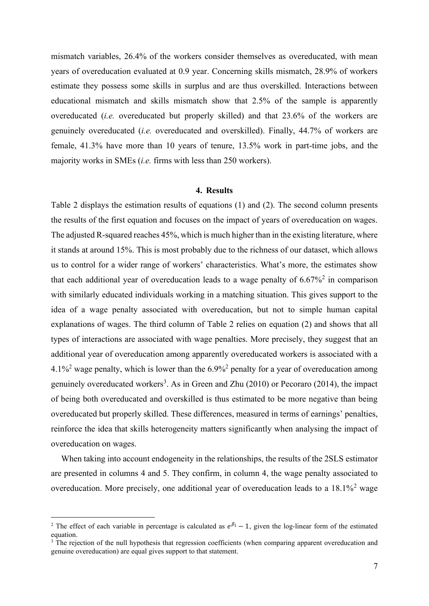mismatch variables, 26.4% of the workers consider themselves as overeducated, with mean years of overeducation evaluated at 0.9 year. Concerning skills mismatch, 28.9% of workers estimate they possess some skills in surplus and are thus overskilled. Interactions between educational mismatch and skills mismatch show that 2.5% of the sample is apparently overeducated (*i.e.* overeducated but properly skilled) and that 23.6% of the workers are genuinely overeducated (*i.e.* overeducated and overskilled). Finally, 44.7% of workers are female, 41.3% have more than 10 years of tenure, 13.5% work in part-time jobs, and the majority works in SMEs (*i.e.* firms with less than 250 workers).

## **4. Results**

Table 2 displays the estimation results of equations (1) and (2). The second column presents the results of the first equation and focuses on the impact of years of overeducation on wages. The adjusted R-squared reaches 45%, which is much higher than in the existing literature, where it stands at around 15%. This is most probably due to the richness of our dataset, which allows us to control for a wider range of workers' characteristics. What's more, the estimates show that each additional year of overeducation leads to a wage penalty of  $6.67\%$ <sup>2</sup> in comparison with similarly educated individuals working in a matching situation. This gives support to the idea of a wage penalty associated with overeducation, but not to simple human capital explanations of wages. The third column of Table 2 relies on equation (2) and shows that all types of interactions are associated with wage penalties. More precisely, they suggest that an additional year of overeducation among apparently overeducated workers is associated with a  $4.1\%$ <sup>2</sup> wage penalty, which is lower than the  $6.9\%$ <sup>2</sup> penalty for a year of overeducation among genuinely overeducated workers<sup>3</sup>. As in Green and Zhu  $(2010)$  or Pecoraro  $(2014)$ , the impact of being both overeducated and overskilled is thus estimated to be more negative than being overeducated but properly skilled. These differences, measured in terms of earnings' penalties, reinforce the idea that skills heterogeneity matters significantly when analysing the impact of overeducation on wages.

When taking into account endogeneity in the relationships, the results of the 2SLS estimator are presented in columns 4 and 5. They confirm, in column 4, the wage penalty associated to overeducation. More precisely, one additional year of overeducation leads to a 18.1%<sup>2</sup> wage

<sup>&</sup>lt;sup>2</sup> The effect of each variable in percentage is calculated as  $e^{\beta i} - 1$ , given the log-linear form of the estimated equation.

 $3\overline{1}$  The rejection of the null hypothesis that regression coefficients (when comparing apparent overeducation and genuine overeducation) are equal gives support to that statement.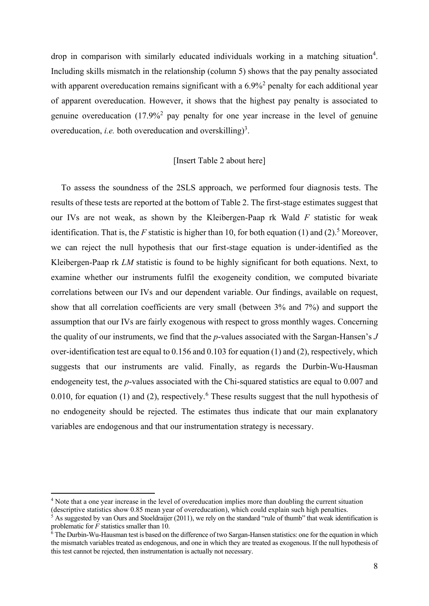drop in comparison with similarly educated individuals working in a matching situation<sup>4</sup>. Including skills mismatch in the relationship (column 5) shows that the pay penalty associated with apparent overeducation remains significant with a 6.9%<sup>2</sup> penalty for each additional year of apparent overeducation. However, it shows that the highest pay penalty is associated to genuine overeducation  $(17.9\%)^2$  pay penalty for one year increase in the level of genuine overeducation, *i.e.* both overeducation and overskilling)<sup>3</sup>.

#### [Insert Table 2 about here]

To assess the soundness of the 2SLS approach, we performed four diagnosis tests. The results of these tests are reported at the bottom of Table 2. The first-stage estimates suggest that our IVs are not weak, as shown by the Kleibergen-Paap rk Wald *F* statistic for weak identification. That is, the  $F$  statistic is higher than 10, for both equation (1) and (2).<sup>5</sup> Moreover, we can reject the null hypothesis that our first-stage equation is under-identified as the Kleibergen-Paap rk *LM* statistic is found to be highly significant for both equations. Next, to examine whether our instruments fulfil the exogeneity condition, we computed bivariate correlations between our IVs and our dependent variable. Our findings, available on request, show that all correlation coefficients are very small (between 3% and 7%) and support the assumption that our IVs are fairly exogenous with respect to gross monthly wages. Concerning the quality of our instruments, we find that the *p*-values associated with the Sargan-Hansen's  $J$ over-identification test are equal to 0.156 and 0.103 for equation (1) and (2), respectively, which suggests that our instruments are valid. Finally, as regards the Durbin-Wu-Hausman endogeneity test, the *p*-values associated with the Chi-squared statistics are equal to 0.007 and 0.010, for equation (1) and (2), respectively.<sup>6</sup> These results suggest that the null hypothesis of no endogeneity should be rejected. The estimates thus indicate that our main explanatory variables are endogenous and that our instrumentation strategy is necessary.

<sup>4</sup> Note that a one year increase in the level of overeducation implies more than doubling the current situation (descriptive statistics show 0.85 mean year of overeducation), which could explain such high penalties.

 $\frac{5}{5}$  As suggested by van Ours and Stoeldraijer (2011), we rely on the standard "rule of thumb" that weak identification is problematic for *F* statistics smaller than 10.

 $\frac{6}{3}$  The Durbin-Wu-Hausman test is based on the difference of two Sargan-Hansen statistics: one for the equation in which the mismatch variables treated as endogenous, and one in which they are treated as exogenous. If the null hypothesis of this test cannot be rejected, then instrumentation is actually not necessary.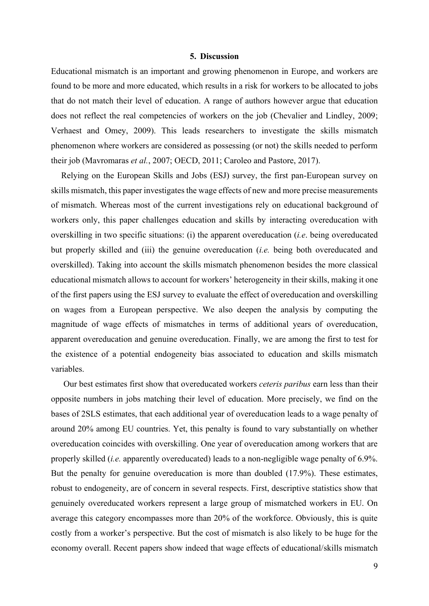#### **5. Discussion**

Educational mismatch is an important and growing phenomenon in Europe, and workers are found to be more and more educated, which results in a risk for workers to be allocated to jobs that do not match their level of education. A range of authors however argue that education does not reflect the real competencies of workers on the job (Chevalier and Lindley, 2009; Verhaest and Omey, 2009). This leads researchers to investigate the skills mismatch phenomenon where workers are considered as possessing (or not) the skills needed to perform their job (Mavromaras *et al.*, 2007; OECD, 2011; Caroleo and Pastore, 2017).

Relying on the European Skills and Jobs (ESJ) survey, the first pan-European survey on skills mismatch, this paper investigates the wage effects of new and more precise measurements of mismatch. Whereas most of the current investigations rely on educational background of workers only, this paper challenges education and skills by interacting overeducation with overskilling in two specific situations: (i) the apparent overeducation (*i.e*. being overeducated but properly skilled and (iii) the genuine overeducation (*i.e.* being both overeducated and overskilled). Taking into account the skills mismatch phenomenon besides the more classical educational mismatch allows to account for workers' heterogeneity in their skills, making it one of the first papers using the ESJ survey to evaluate the effect of overeducation and overskilling on wages from a European perspective. We also deepen the analysis by computing the magnitude of wage effects of mismatches in terms of additional years of overeducation, apparent overeducation and genuine overeducation. Finally, we are among the first to test for the existence of a potential endogeneity bias associated to education and skills mismatch variables.

Our best estimates first show that overeducated workers *ceteris paribus* earn less than their opposite numbers in jobs matching their level of education. More precisely, we find on the bases of 2SLS estimates, that each additional year of overeducation leads to a wage penalty of around 20% among EU countries. Yet, this penalty is found to vary substantially on whether overeducation coincides with overskilling. One year of overeducation among workers that are properly skilled (*i.e.* apparently overeducated) leads to a non-negligible wage penalty of 6.9%. But the penalty for genuine overeducation is more than doubled (17.9%). These estimates, robust to endogeneity, are of concern in several respects. First, descriptive statistics show that genuinely overeducated workers represent a large group of mismatched workers in EU. On average this category encompasses more than 20% of the workforce. Obviously, this is quite costly from a worker's perspective. But the cost of mismatch is also likely to be huge for the economy overall. Recent papers show indeed that wage effects of educational/skills mismatch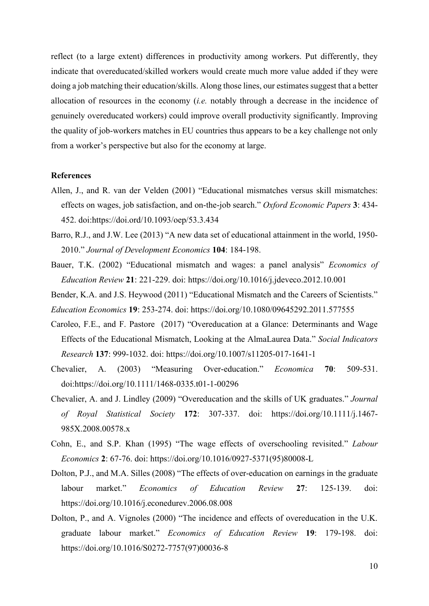reflect (to a large extent) differences in productivity among workers. Put differently, they indicate that overeducated/skilled workers would create much more value added if they were doing a job matching their education/skills. Along those lines, our estimates suggest that a better allocation of resources in the economy (*i.e.* notably through a decrease in the incidence of genuinely overeducated workers) could improve overall productivity significantly. Improving the quality of job-workers matches in EU countries thus appears to be a key challenge not only from a worker's perspective but also for the economy at large.

#### **References**

- Allen, J., and R. van der Velden (2001) "Educational mismatches versus skill mismatches: effects on wages, job satisfaction, and on-the-job search.´*Oxford Economic Papers* **3**: 434- 452. doi:https://doi.ord[/10.1093/oep/53.3.434](https://www.researchgate.net/deref/http%3A%2F%2Fdx.doi.org%2F10.1093%2Foep%2F53.3.434?_sg%5B0%5D=Ync8PAqcdEaaFS1sG2LBeIYSVScJZCjcfERYYSWCRMFAZlXgNV4_O8v2mjBWptNTYD_RdD41u_4FN7zcbCnM4B1llg.zcGKDpMEbGQFyLCPyKQQgaG4soc3SwiAi-xWcTpOgzXIDHAP36VQYkLOTlylOhZxZuJ54W4MtpGe7lgDRErAUw)
- Barro, R.J., and J.W. Lee (2013) "A new data set of educational attainment in the world, 1950-2010.´*Journal of Development Economics* **104**: 184-198.
- Bauer, T.K. (2002) "Educational mismatch and wages: a panel analysis" *Economics of Education Review* **21**: 221-229. doi:<https://doi.org/10.1016/j.jdeveco.2012.10.001>
- Bender, K.A. and J.S. Heywood (2011) "Educational Mismatch and the Careers of Scientists." *Education Economics* **19**: 253-274. doi: https://doi.org/10.1080/09645292.2011.577555
- Caroleo, F.E., and F. Pastore (2017) "Overeducation at a Glance: Determinants and Wage Effects of the Educational Mismatch, Looking at the AlmaLaurea Data.´*Social Indicators Research* **137**: 999-1032. doi: https://doi.org/10.1007/s11205-017-1641-1
- Chevalier, A. (2003) "Measuring Over-education." *Economica* 70: 509-531. doi:https://doi.org/10.1111/1468-0335.t01-1-00296
- Chevalier, A. and J. Lindley (2009) "Overeducation and the skills of UK graduates." *Journal of Royal Statistical Society* **172**: 307-337. doi: https://doi.org/10.1111/j.1467- 985X.2008.00578.x
- Cohn, E., and S.P. Khan (1995) "The wage effects of overschooling revisited." Labour *Economics* **2**: 67-76. doi: https://doi.org/10.1016/0927-5371(95)80008-L
- Dolton, P.J., and M.A. Silles (2008) "The effects of over-education on earnings in the graduate labour market.´ *Economics of Education Review* **27**: 125-139. doi: https://doi.org/10.1016/j.econedurev.2006.08.008
- Dolton, P., and A. Vignoles (2000) "The incidence and effects of overeducation in the U.K. graduate labour market.´ *Economics of Education Review* **19**: 179-198. doi: https://doi.org/10.1016/S0272-7757(97)00036-8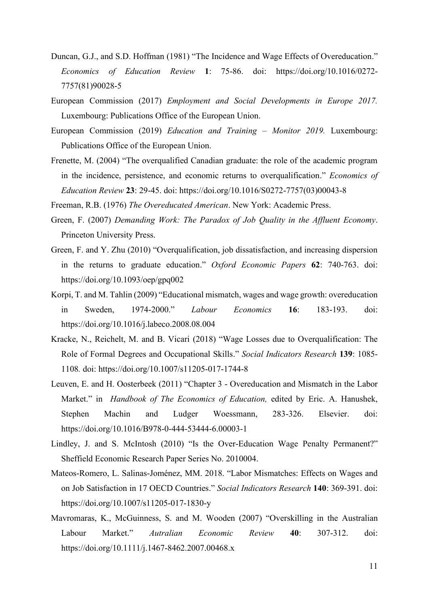- Duncan, G.J., and S.D. Hoffman (1981) "The Incidence and Wage Effects of Overeducation." *Economics of Education Review* **1**: 75-86. doi: https://doi.org/10.1016/0272- 7757(81)90028-5
- European Commission (2017) *Employment and Social Developments in Europe 2017.*  Luxembourg: Publications Office of the European Union.
- European Commission (2019) *Education and Training Monitor 2019*. Luxembourg: Publications Office of the European Union.
- Frenette, M. (2004) "The overqualified Canadian graduate: the role of the academic program in the incidence, persistence, and economic returns to overqualification.´ *Economics of Education Review* **23**: 29-45. doi: https://doi.org/10.1016/S0272-7757(03)00043-8

Freeman, R.B. (1976) *The Overeducated American*. New York: Academic Press.

- Green, F. (2007) *Demanding Work: The Paradox of Job Quality in the Affluent Economy*. Princeton University Press.
- Green, F. and Y. Zhu (2010) "Overqualification, job dissatisfaction, and increasing dispersion in the returns to graduate education.´ *Oxford Economic Papers* **62**: 740-763. doi: https://doi.org/10.1093/oep/gpq002
- Korpi, T. and M. Tahlin (2009) "Educational mismatch, wages and wage growth: overeducation in Sweden, 1974-2000.´ *Labour Economics* **16**: 183-193. doi: https://doi.org/10.1016/j.labeco.2008.08.004
- Kracke, N., Reichelt, M. and B. Vicari (2018) "Wage Losses due to Overqualification: The Role of Formal Degrees and Occupational Skills.´*Social Indicators Research* **139**: 1085- 1108*.* doi: https://doi.org/10.1007/s11205-017-1744-8
- Leuven, E. and H. Oosterbeek (2011) "Chapter 3 Overeducation and Mismatch in the Labor Market." in *Handbook of The Economics of Education*, edited by Eric. A. Hanushek, Stephen Machin and Ludger Woessmann, 283-326. Elsevier. doi: https://doi.org/10.1016/B978-0-444-53444-6.00003-1
- Lindley, J. and S. McIntosh (2010) "Is the Over-Education Wage Penalty Permanent?" Sheffield Economic Research Paper Series No. 2010004.
- Mateos-Romero, L. Salinas-Joménez, MM. 2018. "Labor Mismatches: Effects on Wages and on Job Satisfaction in 17 OECD Countries´*Social Indicators Research* **140**: 369-391. doi: https://doi.org/10.1007/s11205-017-1830-y
- Mavromaras, K., McGuinness, S. and M. Wooden (2007) "Overskilling in the Australian Labour Market.´ *Autralian Economic Review* **40**: 307-312. doi: https://doi.org/10.1111/j.1467-8462.2007.00468.x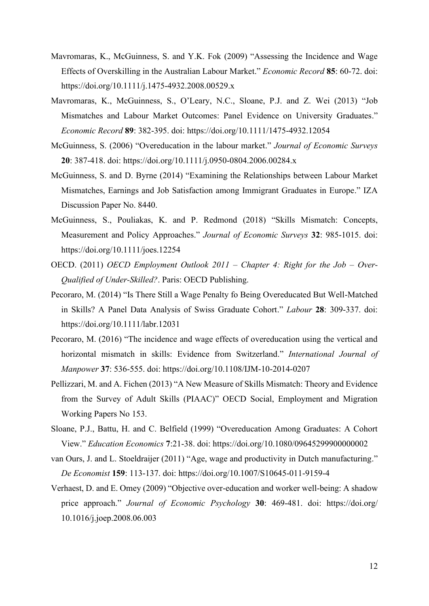- Mavromaras, K., McGuinness, S. and Y.K. Fok (2009) "Assessing the Incidence and Wage Effects of Overskilling in the Australian Labour Market.´*Economic Record* **85**: 60-72. doi: https://doi.org/10.1111/j.1475-4932.2008.00529.x
- Mavromaras, K., McGuinness, S., O'Leary, N.C., Sloane, P.J. and Z. Wei (2013) "Job Mismatches and Labour Market Outcomes: Panel Evidence on University Graduates." *Economic Record* **89**: 382-395. doi: https://doi.org/10.1111/1475-4932.12054
- McGuinness, S. (2006) "Overeducation in the labour market." *Journal of Economic Surveys* **20**: 387-418. doi: https://doi.org/10.1111/j.0950-0804.2006.00284.x
- McGuinness, S. and D. Byrne (2014) "Examining the Relationships between Labour Market Mismatches, Earnings and Job Satisfaction among Immigrant Graduates in Europe." IZA Discussion Paper No. 8440.
- McGuinness, S., Pouliakas, K. and P. Redmond (2018) "Skills Mismatch: Concepts, Measurement and Policy Approaches." *Journal of Economic Surveys* 32: 985-1015. doi: https://doi.org/10.1111/joes.12254
- OECD. (2011) *OECD Employment Outlook 2011 ± Chapter 4: Right for the Job ± Over-Qualified of Under-Skilled?*. Paris: OECD Publishing.
- Pecoraro, M. (2014) "Is There Still a Wage Penalty fo Being Overeducated But Well-Matched in Skills? A Panel Data Analysis of Swiss Graduate Cohort.´ *Labour* **28**: 309-337. doi: https://doi.org/10.1111/labr.12031
- Pecoraro, M. (2016) "The incidence and wage effects of overeducation using the vertical and horizontal mismatch in skills: Evidence from Switzerland." *International Journal of Manpower* **37**: 536-555. doi: https://doi.org/10.1108/IJM-10-2014-0207
- Pellizzari, M. and A. Fichen (2013) "A New Measure of Skills Mismatch: Theory and Evidence from the Survey of Adult Skills (PIAAC)" OECD Social, Employment and Migration Working Papers No 153.
- Sloane, P.J., Battu, H. and C. Belfield (1999) "Overeducation Among Graduates: A Cohort 9LHZ´*Education Economics* **7**:21-38. doi: https://doi.org/10.1080/09645299900000002
- van Ours, J. and L. Stoeldraijer (2011) "Age, wage and productivity in Dutch manufacturing." *De Economist* **159**: 113-137. doi: https://doi.org/10.1007/S10645-011-9159-4
- Verhaest, D. and E. Omey (2009) "Objective over-education and worker well-being: A shadow price approach.´ *Journal of Economic Psychology* **30**: 469-481. doi: https://doi.org/ 10.1016/j.joep.2008.06.003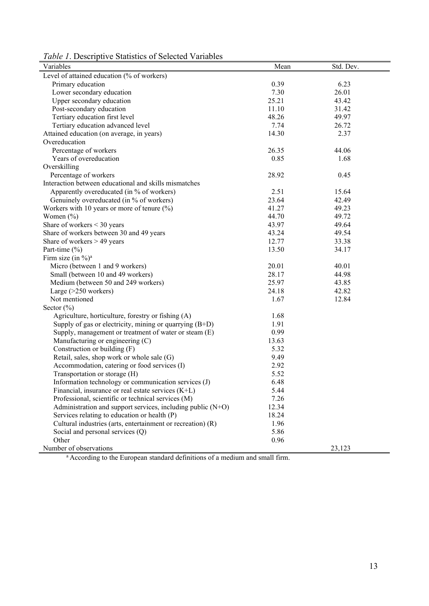|  |  |  |  | Table 1. Descriptive Statistics of Selected Variables |  |
|--|--|--|--|-------------------------------------------------------|--|
|--|--|--|--|-------------------------------------------------------|--|

| Variables                                                   | Mean  | Std. Dev. |
|-------------------------------------------------------------|-------|-----------|
| Level of attained education (% of workers)                  |       |           |
| Primary education                                           | 0.39  | 6.23      |
| Lower secondary education                                   | 7.30  | 26.01     |
| Upper secondary education                                   | 25.21 | 43.42     |
| Post-secondary education                                    | 11.10 | 31.42     |
| Tertiary education first level                              | 48.26 | 49.97     |
| Tertiary education advanced level                           | 7.74  | 26.72     |
| Attained education (on average, in years)                   | 14.30 | 2.37      |
| Overeducation                                               |       |           |
| Percentage of workers                                       | 26.35 | 44.06     |
| Years of overeducation                                      | 0.85  | 1.68      |
| Overskilling                                                |       |           |
| Percentage of workers                                       | 28.92 | 0.45      |
| Interaction between educational and skills mismatches       |       |           |
| Apparently overeducated (in % of workers)                   | 2.51  | 15.64     |
| Genuinely overeducated (in % of workers)                    | 23.64 | 42.49     |
| Workers with 10 years or more of tenure $(\%)$              | 41.27 | 49.23     |
| Women $(\% )$                                               | 44.70 | 49.72     |
| Share of workers $<$ 30 years                               | 43.97 | 49.64     |
| Share of workers between 30 and 49 years                    | 43.24 | 49.54     |
| Share of workers $> 49$ years                               | 12.77 | 33.38     |
| Part-time $(\% )$                                           | 13.50 | 34.17     |
| Firm size (in $\%$ ) <sup>a</sup>                           |       |           |
| Micro (between 1 and 9 workers)                             | 20.01 | 40.01     |
| Small (between 10 and 49 workers)                           | 28.17 | 44.98     |
| Medium (between 50 and 249 workers)                         | 25.97 | 43.85     |
| Large $(>250$ workers)                                      | 24.18 | 42.82     |
| Not mentioned                                               | 1.67  | 12.84     |
| Sector $(\% )$                                              |       |           |
| Agriculture, horticulture, forestry or fishing (A)          | 1.68  |           |
| Supply of gas or electricity, mining or quarrying $(B+D)$   | 1.91  |           |
| Supply, management or treatment of water or steam (E)       | 0.99  |           |
| Manufacturing or engineering (C)                            | 13.63 |           |
| Construction or building (F)                                | 5.32  |           |
| Retail, sales, shop work or whole sale (G)                  | 9.49  |           |
| Accommodation, catering or food services (I)                | 2.92  |           |
| Transportation or storage (H)                               | 5.52  |           |
| Information technology or communication services (J)        | 6.48  |           |
| Financial, insurance or real estate services $(K+L)$        | 5.44  |           |
| Professional, scientific or technical services (M)          | 7.26  |           |
| Administration and support services, including public (N+O) | 12.34 |           |
| Services relating to education or health (P)                | 18.24 |           |
| Cultural industries (arts, entertainment or recreation) (R) | 1.96  |           |
| Social and personal services (Q)                            | 5.86  |           |
| Other                                                       | 0.96  |           |
| Number of observations                                      |       | 23,123    |

<sup>a</sup> According to the European standard definitions of a medium and small firm.